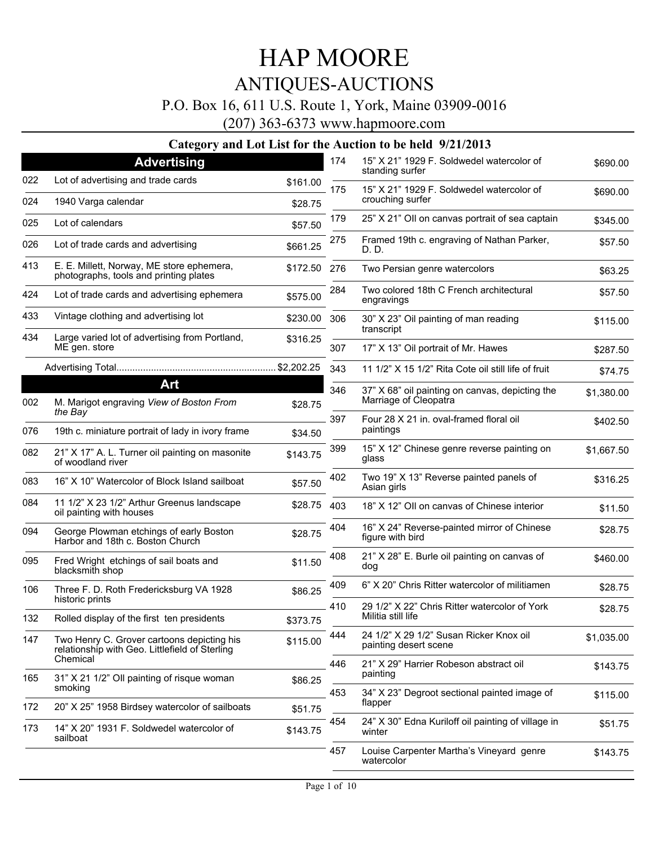### P.O. Box 16, 611 U.S. Route 1, York, Maine 03909-0016

(207) 363-6373 www.hapmoore.com

|     |                                                                                              |                     | 174 | 15" X 21" 1929 F. Soldwedel watercolor of                           |            |
|-----|----------------------------------------------------------------------------------------------|---------------------|-----|---------------------------------------------------------------------|------------|
| 022 | <b>Advertising</b><br>Lot of advertising and trade cards                                     |                     |     | standing surfer                                                     | \$690.00   |
| 024 | 1940 Varga calendar                                                                          | \$161.00<br>\$28.75 | 175 | 15" X 21" 1929 F. Soldwedel watercolor of<br>crouching surfer       | \$690.00   |
| 025 | Lot of calendars                                                                             | \$57.50             | 179 | 25" X 21" Oll on canvas portrait of sea captain                     | \$345.00   |
| 026 | Lot of trade cards and advertising                                                           | \$661.25            | 275 | Framed 19th c. engraving of Nathan Parker,<br>D. D.                 | \$57.50    |
| 413 | E. E. Millett, Norway, ME store ephemera,<br>photographs, tools and printing plates          | \$172.50            | 276 | Two Persian genre watercolors                                       | \$63.25    |
| 424 | Lot of trade cards and advertising ephemera                                                  | \$575.00            | 284 | Two colored 18th C French architectural<br>engravings               | \$57.50    |
| 433 | Vintage clothing and advertising lot                                                         | \$230.00            | 306 | 30" X 23" Oil painting of man reading<br>transcript                 | \$115.00   |
| 434 | Large varied lot of advertising from Portland,<br>ME gen. store                              | \$316.25            | 307 | 17" X 13" Oil portrait of Mr. Hawes                                 | \$287.50   |
|     |                                                                                              |                     | 343 | 11 1/2" X 15 1/2" Rita Cote oil still life of fruit                 | \$74.75    |
|     | Art                                                                                          |                     | 346 | 37" X 68" oil painting on canvas, depicting the                     | \$1,380.00 |
| 002 | M. Marigot engraving View of Boston From                                                     | \$28.75             |     | Marriage of Cleopatra                                               |            |
| 076 | the Bay<br>19th c. miniature portrait of lady in ivory frame                                 | \$34.50             | 397 | Four 28 X 21 in. oval-framed floral oil<br>paintings                | \$402.50   |
| 082 | 21" X 17" A. L. Turner oil painting on masonite<br>of woodland river                         | \$143.75            | 399 | 15" X 12" Chinese genre reverse painting on<br>glass                | \$1,667.50 |
| 083 | 16" X 10" Watercolor of Block Island sailboat                                                | \$57.50             | 402 | Two 19" X 13" Reverse painted panels of<br>Asian girls              | \$316.25   |
| 084 | 11 1/2" X 23 1/2" Arthur Greenus landscape<br>oil painting with houses                       | \$28.75             | 403 | 18" X 12" Oll on canvas of Chinese interior                         | \$11.50    |
| 094 | George Plowman etchings of early Boston<br>Harbor and 18th c. Boston Church                  | \$28.75             | 404 | 16" X 24" Reverse-painted mirror of Chinese<br>figure with bird     | \$28.75    |
| 095 | Fred Wright etchings of sail boats and<br>blacksmith shop                                    | \$11.50             | 408 | 21" X 28" E. Burle oil painting on canvas of<br>dog                 | \$460.00   |
| 106 | Three F. D. Roth Fredericksburg VA 1928                                                      | \$86.25             | 409 | 6" X 20" Chris Ritter watercolor of militiamen                      | \$28.75    |
| 132 | historic prints<br>Rolled display of the first ten presidents                                | \$373.75            | 410 | 29 1/2" X 22" Chris Ritter watercolor of York<br>Militia still life | \$28.75    |
| 147 | Two Henry C. Grover cartoons depicting his<br>relationship with Geo. Littlefield of Sterling | \$115.00            | 444 | 24 1/2" X 29 1/2" Susan Ricker Knox oil<br>painting desert scene    | \$1,035.00 |
|     | Chemical                                                                                     |                     | 446 | 21" X 29" Harrier Robeson abstract oil                              | \$143.75   |
| 165 | 31" X 21 1/2" Oll painting of risque woman<br>smoking                                        | \$86.25             | 453 | painting<br>34" X 23" Degroot sectional painted image of            |            |
| 172 | 20" X 25" 1958 Birdsey watercolor of sailboats                                               | \$51.75             |     | flapper                                                             | \$115.00   |
| 173 | 14" X 20" 1931 F. Soldwedel watercolor of<br>sailboat                                        | \$143.75            | 454 | 24" X 30" Edna Kuriloff oil painting of village in<br>winter        | \$51.75    |
|     |                                                                                              |                     | 457 | Louise Carpenter Martha's Vineyard genre<br>watercolor              | \$143.75   |
|     |                                                                                              |                     |     |                                                                     |            |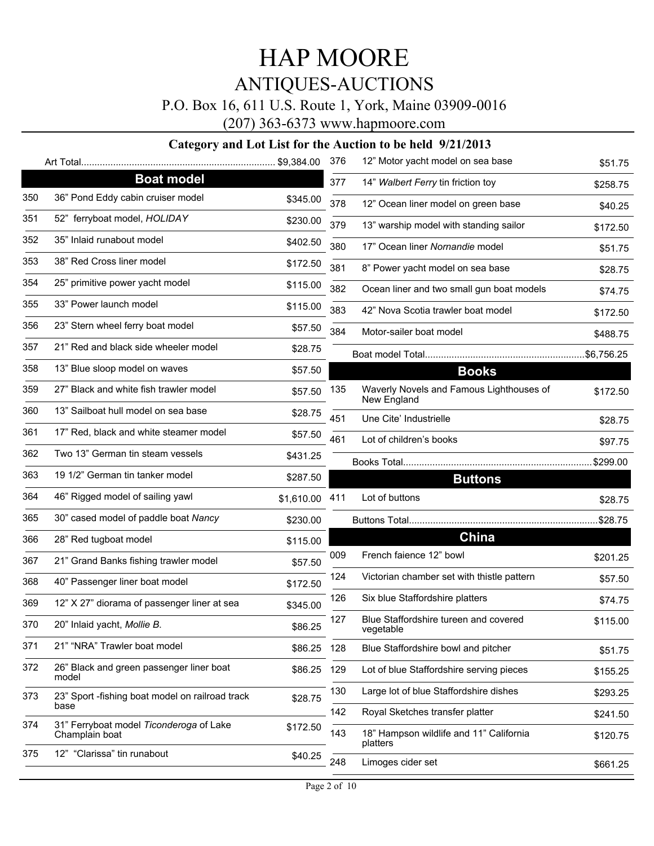### P.O. Box 16, 611 U.S. Route 1, York, Maine 03909-0016

(207) 363-6373 www.hapmoore.com

|     |                                                           |             | 376 | 12" Motor yacht model on sea base                   | \$51.75     |
|-----|-----------------------------------------------------------|-------------|-----|-----------------------------------------------------|-------------|
|     | <b>Boat model</b>                                         |             | 377 | 14" Walbert Ferry tin friction toy                  | \$258.75    |
| 350 | 36" Pond Eddy cabin cruiser model                         | \$345.00    | 378 | 12" Ocean liner model on green base                 | \$40.25     |
| 351 | 52" ferryboat model, HOLIDAY                              | \$230.00    | 379 | 13" warship model with standing sailor              | \$172.50    |
| 352 | 35" Inlaid runabout model                                 | \$402.50    | 380 | 17" Ocean liner Nornandie model                     | \$51.75     |
| 353 | 38" Red Cross liner model                                 | \$172.50    | 381 | 8" Power yacht model on sea base                    | \$28.75     |
| 354 | 25" primitive power yacht model                           | \$115.00    | 382 | Ocean liner and two small gun boat models           | \$74.75     |
| 355 | 33" Power launch model                                    | \$115.00    | 383 | 42" Nova Scotia trawler boat model                  | \$172.50    |
| 356 | 23" Stern wheel ferry boat model                          | \$57.50     | 384 | Motor-sailer boat model                             | \$488.75    |
| 357 | 21" Red and black side wheeler model                      | \$28.75     |     |                                                     | .\$6,756.25 |
| 358 | 13" Blue sloop model on waves                             | \$57.50     |     | <b>Books</b>                                        |             |
| 359 | 27" Black and white fish trawler model                    | \$57.50     | 135 | Waverly Novels and Famous Lighthouses of            | \$172.50    |
| 360 | 13" Sailboat hull model on sea base                       | \$28.75     | 451 | New England                                         |             |
| 361 | 17" Red, black and white steamer model                    | \$57.50     |     | Une Cite' Industrielle                              | \$28.75     |
| 362 | Two 13" German tin steam vessels                          | \$431.25    | 461 | Lot of children's books                             | \$97.75     |
| 363 | 19 1/2" German tin tanker model                           | \$287.50    |     | <b>Buttons</b>                                      | \$299.00    |
| 364 | 46" Rigged model of sailing yawl                          | \$1,610.00  | 411 | Lot of buttons                                      | \$28.75     |
| 365 | 30" cased model of paddle boat Nancy                      | \$230.00    |     |                                                     | \$28.75     |
| 366 | 28" Red tugboat model                                     | \$115.00    |     | <b>China</b>                                        |             |
| 367 | 21" Grand Banks fishing trawler model                     |             | 009 | French faience 12" bowl                             | \$201.25    |
| 368 | 40" Passenger liner boat model                            | \$57.50     | 124 | Victorian chamber set with thistle pattern          | \$57.50     |
|     |                                                           | \$172.50    | 126 | Six blue Staffordshire platters                     | \$74.75     |
| 369 | 12" X 27" diorama of passenger liner at sea               | \$345.00    | 127 | Blue Staffordshire tureen and covered               | \$115.00    |
| 370 | 20" Inlaid yacht, Mollie B.                               | \$86.25     |     | vegetable                                           |             |
| 371 | 21" "NRA" Trawler boat model                              | \$86.25 128 |     | Blue Staffordshire bowl and pitcher                 | \$51.75     |
| 372 | 26" Black and green passenger liner boat<br>model         | \$86.25 129 |     | Lot of blue Staffordshire serving pieces            | \$155.25    |
| 373 | 23" Sport -fishing boat model on railroad track           | \$28.75     | 130 | Large lot of blue Staffordshire dishes              | \$293.25    |
|     | base                                                      |             | 142 | Royal Sketches transfer platter                     | \$241.50    |
| 374 | 31" Ferryboat model Ticonderoga of Lake<br>Champlain boat | \$172.50    | 143 | 18" Hampson wildlife and 11" California<br>platters | \$120.75    |
| 375 | 12" "Clarissa" tin runabout                               | \$40.25     | 248 | Limoges cider set                                   | \$661.25    |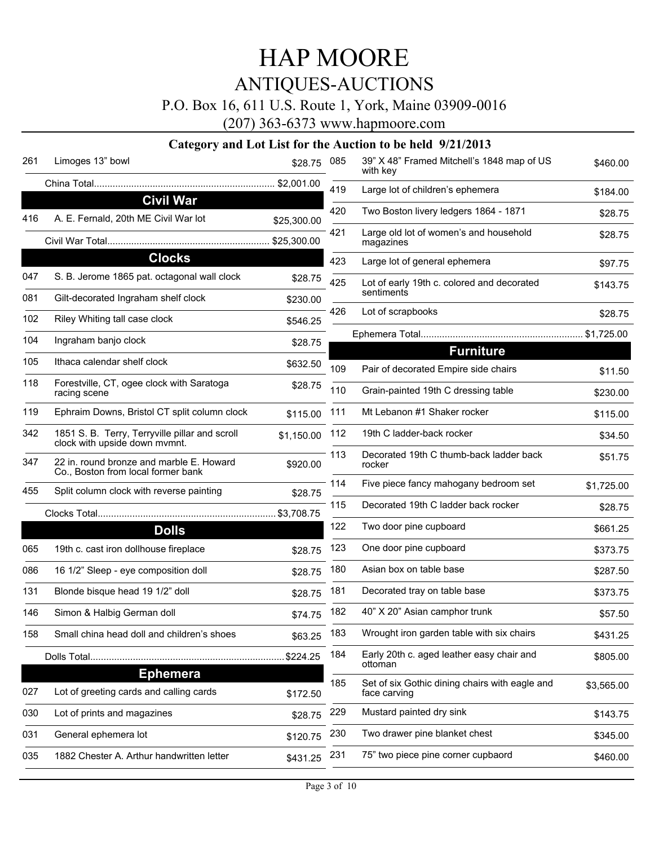# HAP MOORE

## ANTIQUES-AUCTIONS

### P.O. Box 16, 611 U.S. Route 1, York, Maine 03909-0016

(207) 363-6373 www.hapmoore.com

| 261 | Limoges 13" bowl                                                                | \$28.75     | 085 | 39" X 48" Framed Mitchell's 1848 map of US<br>with key | \$460.00   |
|-----|---------------------------------------------------------------------------------|-------------|-----|--------------------------------------------------------|------------|
|     |                                                                                 |             | 419 | Large lot of children's ephemera                       | \$184.00   |
|     | <b>Civil War</b>                                                                |             | 420 | Two Boston livery ledgers 1864 - 1871                  | \$28.75    |
| 416 | A. E. Fernald, 20th ME Civil War lot                                            | \$25,300.00 | 421 | Large old lot of women's and household<br>magazines    | \$28.75    |
|     | <b>Clocks</b>                                                                   |             | 423 | Large lot of general ephemera                          |            |
| 047 | S. B. Jerome 1865 pat. octagonal wall clock                                     | \$28.75     | 425 | Lot of early 19th c. colored and decorated             | \$97.75    |
| 081 | Gilt-decorated Ingraham shelf clock                                             | \$230.00    |     | sentiments                                             | \$143.75   |
| 102 | Riley Whiting tall case clock                                                   | \$546.25    | 426 | Lot of scrapbooks                                      | \$28.75    |
| 104 | Ingraham banjo clock                                                            | \$28.75     |     |                                                        |            |
| 105 | Ithaca calendar shelf clock                                                     |             |     | <b>Furniture</b>                                       |            |
|     |                                                                                 | \$632.50    | 109 | Pair of decorated Empire side chairs                   | \$11.50    |
| 118 | Forestville, CT, ogee clock with Saratoga<br>racing scene                       | \$28.75     | 110 | Grain-painted 19th C dressing table                    | \$230.00   |
| 119 | Ephraim Downs, Bristol CT split column clock                                    | \$115.00    | 111 | Mt Lebanon #1 Shaker rocker                            | \$115.00   |
| 342 | 1851 S. B. Terry, Terryville pillar and scroll<br>clock with upside down mymnt. | \$1,150.00  | 112 | 19th C ladder-back rocker                              | \$34.50    |
| 347 | 22 in. round bronze and marble E. Howard<br>Co., Boston from local former bank  | \$920.00    | 113 | Decorated 19th C thumb-back ladder back<br>rocker      | \$51.75    |
| 455 | Split column clock with reverse painting                                        | \$28.75     | 114 | Five piece fancy mahogany bedroom set                  | \$1,725.00 |
|     |                                                                                 |             | 115 | Decorated 19th C ladder back rocker                    | \$28.75    |
|     | <b>Dolls</b>                                                                    |             | 122 | Two door pine cupboard                                 | \$661.25   |
| 065 | 19th c. cast iron dollhouse fireplace                                           | \$28.75     | 123 | One door pine cupboard                                 | \$373.75   |
| 086 | 16 1/2" Sleep - eye composition doll                                            | \$28.75     | 180 | Asian box on table base                                | \$287.50   |
| 131 | Blonde bisque head 19 1/2" doll                                                 | \$28.75     | 181 | Decorated tray on table base                           | \$373.75   |
| 146 | Simon & Halbig German doll                                                      | \$74.75     | 182 | 40" X 20" Asian camphor trunk                          | \$57.50    |
| 158 | Small china head doll and children's shoes                                      | \$63.25     | 183 | Wrought iron garden table with six chairs              | \$431.25   |
|     | Dolls Total                                                                     | \$224.25    | 184 | Early 20th c. aged leather easy chair and<br>ottoman   | \$805.00   |
|     | <b>Ephemera</b>                                                                 |             | 185 | Set of six Gothic dining chairs with eagle and         |            |
| 027 | Lot of greeting cards and calling cards                                         | \$172.50    |     | face carving                                           | \$3,565.00 |
| 030 | Lot of prints and magazines                                                     | \$28.75     | 229 | Mustard painted dry sink                               | \$143.75   |
| 031 | General ephemera lot                                                            | \$120.75    | 230 | Two drawer pine blanket chest                          | \$345.00   |
| 035 | 1882 Chester A. Arthur handwritten letter                                       | \$431.25    | 231 | 75" two piece pine corner cupbaord                     | \$460.00   |
|     |                                                                                 |             |     |                                                        |            |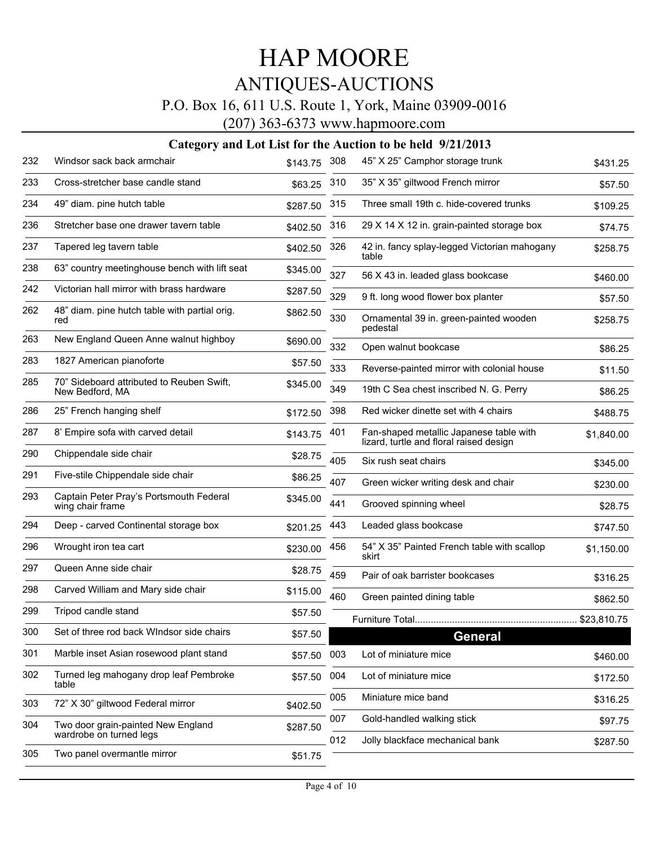### P.O. Box 16, 611 U.S. Route 1, York, Maine 03909-0016

(207) 363-6373 www.hapmoore.com

| 232 | Windsor sack back armchair                                   | \$143.75 | 308 | 45" X 25" Camphor storage trunk                                                    | \$431.25   |
|-----|--------------------------------------------------------------|----------|-----|------------------------------------------------------------------------------------|------------|
| 233 | Cross-stretcher base candle stand                            | \$63.25  | 310 | 35" X 35" giltwood French mirror                                                   | \$57.50    |
| 234 | 49" diam. pine hutch table                                   | \$287.50 | 315 | Three small 19th c. hide-covered trunks                                            | \$109.25   |
| 236 | Stretcher base one drawer tavern table                       | \$402.50 | 316 | 29 X 14 X 12 in. grain-painted storage box                                         | \$74.75    |
| 237 | Tapered leg tavern table                                     | \$402.50 | 326 | 42 in. fancy splay-legged Victorian mahogany<br>table                              | \$258.75   |
| 238 | 63" country meetinghouse bench with lift seat                | \$345.00 | 327 | 56 X 43 in. leaded glass bookcase                                                  | \$460.00   |
| 242 | Victorian hall mirror with brass hardware                    | \$287.50 | 329 | 9 ft. long wood flower box planter                                                 | \$57.50    |
| 262 | 48" diam. pine hutch table with partial orig.<br>red         | \$862.50 | 330 | Ornamental 39 in. green-painted wooden<br>pedestal                                 | \$258.75   |
| 263 | New England Queen Anne walnut highboy                        | \$690.00 | 332 | Open walnut bookcase                                                               | \$86.25    |
| 283 | 1827 American pianoforte                                     | \$57.50  | 333 | Reverse-painted mirror with colonial house                                         | \$11.50    |
| 285 | 70" Sideboard attributed to Reuben Swift,<br>New Bedford, MA | \$345.00 | 349 | 19th C Sea chest inscribed N. G. Perry                                             | \$86.25    |
| 286 | 25" French hanging shelf                                     | \$172.50 | 398 | Red wicker dinette set with 4 chairs                                               | \$488.75   |
| 287 | 8' Empire sofa with carved detail                            | \$143.75 | 401 | Fan-shaped metallic Japanese table with<br>lizard, turtle and floral raised design | \$1.840.00 |
| 290 | Chippendale side chair                                       | \$28.75  | 405 | Six rush seat chairs                                                               | \$345.00   |
| 291 | Five-stile Chippendale side chair                            | \$86.25  | 407 | Green wicker writing desk and chair                                                | \$230.00   |
| 293 | Captain Peter Pray's Portsmouth Federal<br>wing chair frame  | \$345.00 | 441 | Grooved spinning wheel                                                             | \$28.75    |
| 294 | Deep - carved Continental storage box                        | \$201.25 | 443 | Leaded glass bookcase                                                              | \$747.50   |
| 296 | Wrought iron tea cart                                        | \$230.00 | 456 | 54" X 35" Painted French table with scallop<br>skirt                               | \$1,150.00 |
| 297 | Queen Anne side chair                                        | \$28.75  | 459 | Pair of oak barrister bookcases                                                    | \$316.25   |
| 298 | Carved William and Mary side chair                           | \$115.00 | 460 | Green painted dining table                                                         | \$862.50   |
| 299 | Tripod candle stand                                          | \$57.50  |     |                                                                                    |            |
| 300 | Set of three rod back WIndsor side chairs                    | \$57.50  |     | <b>General</b>                                                                     |            |
| 301 | Marble inset Asian rosewood plant stand                      | \$57.50  | 003 | Lot of miniature mice                                                              | \$460.00   |
| 302 | Turned leg mahogany drop leaf Pembroke<br>table              | \$57.50  | 004 | Lot of miniature mice                                                              | \$172.50   |
| 303 | 72" X 30" giltwood Federal mirror                            | \$402.50 | 005 | Miniature mice band                                                                | \$316.25   |
| 304 | Two door grain-painted New England                           | \$287.50 | 007 | Gold-handled walking stick                                                         | \$97.75    |
|     | wardrobe on turned legs                                      |          | 012 | Jolly blackface mechanical bank                                                    | \$287.50   |
| 305 | Two panel overmantle mirror                                  | \$51.75  |     |                                                                                    |            |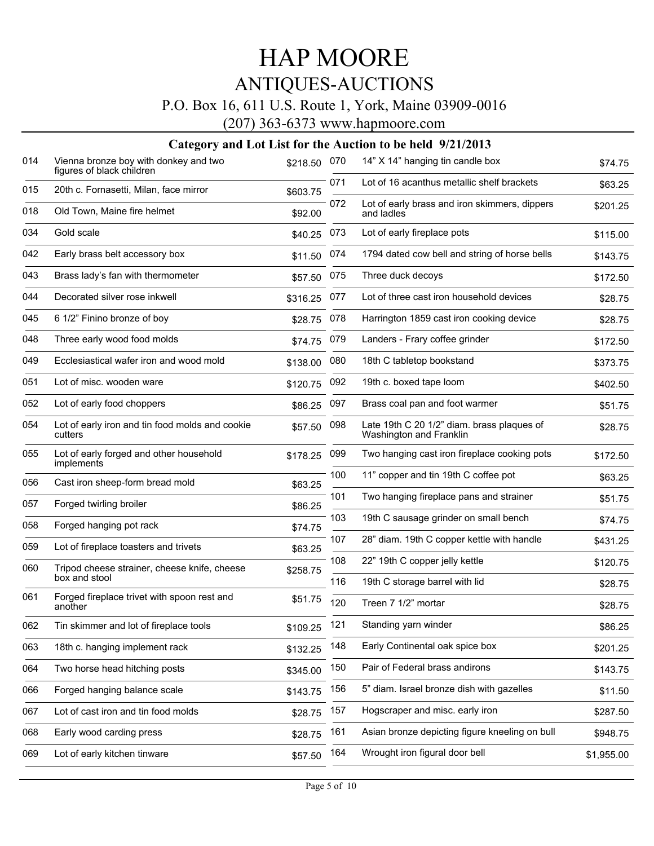### P.O. Box 16, 611 U.S. Route 1, York, Maine 03909-0016

(207) 363-6373 www.hapmoore.com

| 014 | Vienna bronze boy with donkey and two<br>figures of black children | \$218.50 | 070 | 14" X 14" hanging tin candle box                                      | \$74.75    |
|-----|--------------------------------------------------------------------|----------|-----|-----------------------------------------------------------------------|------------|
| 015 | 20th c. Fornasetti, Milan, face mirror                             | \$603.75 | 071 | Lot of 16 acanthus metallic shelf brackets                            | \$63.25    |
| 018 | Old Town, Maine fire helmet                                        | \$92.00  | 072 | Lot of early brass and iron skimmers, dippers<br>and ladles           | \$201.25   |
| 034 | Gold scale                                                         | \$40.25  | 073 | Lot of early fireplace pots                                           | \$115.00   |
| 042 | Early brass belt accessory box                                     | \$11.50  | 074 | 1794 dated cow bell and string of horse bells                         | \$143.75   |
| 043 | Brass lady's fan with thermometer                                  | \$57.50  | 075 | Three duck decoys                                                     | \$172.50   |
| 044 | Decorated silver rose inkwell                                      | \$316.25 | 077 | Lot of three cast iron household devices                              | \$28.75    |
| 045 | 6 1/2" Finino bronze of boy                                        | \$28.75  | 078 | Harrington 1859 cast iron cooking device                              | \$28.75    |
| 048 | Three early wood food molds                                        | \$74.75  | 079 | Landers - Frary coffee grinder                                        | \$172.50   |
| 049 | Ecclesiastical wafer iron and wood mold                            | \$138.00 | 080 | 18th C tabletop bookstand                                             | \$373.75   |
| 051 | Lot of misc, wooden ware                                           | \$120.75 | 092 | 19th c. boxed tape loom                                               | \$402.50   |
| 052 | Lot of early food choppers                                         | \$86.25  | 097 | Brass coal pan and foot warmer                                        | \$51.75    |
| 054 | Lot of early iron and tin food molds and cookie<br>cutters         | \$57.50  | 098 | Late 19th C 20 1/2" diam. brass plaques of<br>Washington and Franklin | \$28.75    |
| 055 | Lot of early forged and other household<br>implements              | \$178.25 | 099 | Two hanging cast iron fireplace cooking pots                          | \$172.50   |
| 056 | Cast iron sheep-form bread mold                                    | \$63.25  | 100 | 11" copper and tin 19th C coffee pot                                  | \$63.25    |
| 057 | Forged twirling broiler                                            | \$86.25  | 101 | Two hanging fireplace pans and strainer                               | \$51.75    |
| 058 | Forged hanging pot rack                                            | \$74.75  | 103 | 19th C sausage grinder on small bench                                 | \$74.75    |
| 059 | Lot of fireplace toasters and trivets                              | \$63.25  | 107 | 28" diam. 19th C copper kettle with handle                            | \$431.25   |
| 060 | Tripod cheese strainer, cheese knife, cheese                       | \$258.75 | 108 | 22" 19th C copper jelly kettle                                        | \$120.75   |
|     | box and stool                                                      |          | 116 | 19th C storage barrel with lid                                        | \$28.75    |
| 061 | Forged fireplace trivet with spoon rest and<br>another             | \$51.75  | 120 | Treen 7 1/2" mortar                                                   | \$28.75    |
| 062 | Tin skimmer and lot of fireplace tools                             | \$109.25 | 121 | Standing yarn winder                                                  | \$86.25    |
| 063 | 18th c. hanging implement rack                                     | \$132.25 | 148 | Early Continental oak spice box                                       | \$201.25   |
| 064 | Two horse head hitching posts                                      | \$345.00 | 150 | Pair of Federal brass andirons                                        | \$143.75   |
| 066 | Forged hanging balance scale                                       | \$143.75 | 156 | 5" diam. Israel bronze dish with gazelles                             | \$11.50    |
| 067 | Lot of cast iron and tin food molds                                | \$28.75  | 157 | Hogscraper and misc. early iron                                       | \$287.50   |
| 068 | Early wood carding press                                           | \$28.75  | 161 | Asian bronze depicting figure kneeling on bull                        | \$948.75   |
| 069 | Lot of early kitchen tinware                                       | \$57.50  | 164 | Wrought iron figural door bell                                        | \$1,955.00 |
|     |                                                                    |          |     |                                                                       |            |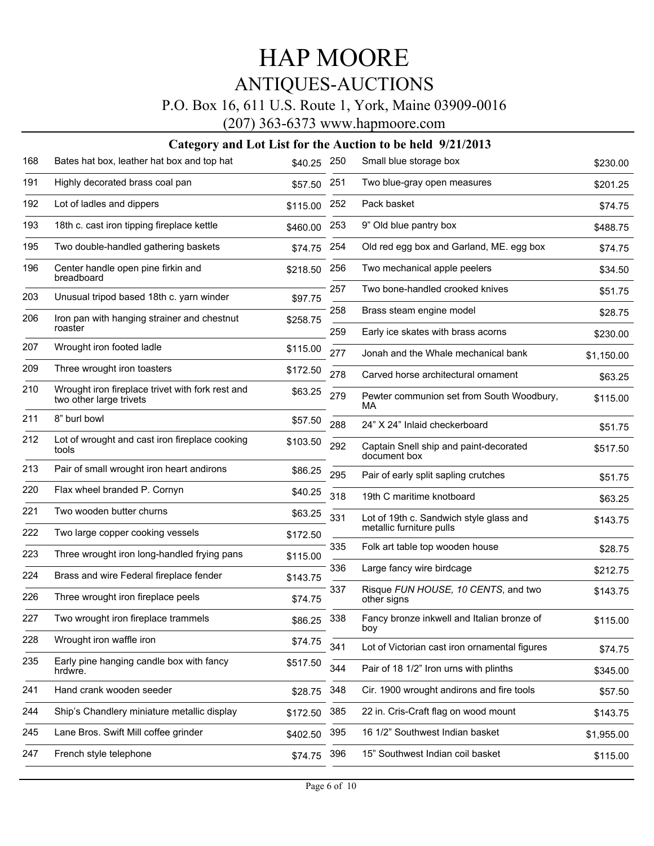### P.O. Box 16, 611 U.S. Route 1, York, Maine 03909-0016

(207) 363-6373 www.hapmoore.com

| 168 | Bates hat box, leather hat box and top hat                                  | \$40.25  | 250 | Small blue storage box                                 | \$230.00   |
|-----|-----------------------------------------------------------------------------|----------|-----|--------------------------------------------------------|------------|
| 191 | Highly decorated brass coal pan                                             | \$57.50  | 251 | Two blue-gray open measures                            | \$201.25   |
| 192 | Lot of ladles and dippers                                                   | \$115.00 | 252 | Pack basket                                            | \$74.75    |
| 193 | 18th c. cast iron tipping fireplace kettle                                  | \$460.00 | 253 | 9" Old blue pantry box                                 | \$488.75   |
| 195 | Two double-handled gathering baskets                                        | \$74.75  | 254 | Old red egg box and Garland, ME. egg box               | \$74.75    |
| 196 | Center handle open pine firkin and<br>breadboard                            | \$218.50 | 256 | Two mechanical apple peelers                           | \$34.50    |
| 203 | Unusual tripod based 18th c. yarn winder                                    | \$97.75  | 257 | Two bone-handled crooked knives                        | \$51.75    |
| 206 | Iron pan with hanging strainer and chestnut                                 | \$258.75 | 258 | Brass steam engine model                               | \$28.75    |
|     | roaster                                                                     |          | 259 | Early ice skates with brass acorns                     | \$230.00   |
| 207 | Wrought iron footed ladle                                                   | \$115.00 | 277 | Jonah and the Whale mechanical bank                    | \$1,150.00 |
| 209 | Three wrought iron toasters                                                 | \$172.50 | 278 | Carved horse architectural ornament                    | \$63.25    |
| 210 | Wrought iron fireplace trivet with fork rest and<br>two other large trivets | \$63.25  | 279 | Pewter communion set from South Woodbury,<br>МA        | \$115.00   |
| 211 | 8" burl bowl                                                                | \$57.50  | 288 | 24" X 24" Inlaid checkerboard                          | \$51.75    |
| 212 | Lot of wrought and cast iron fireplace cooking<br>tools                     | \$103.50 | 292 | Captain Snell ship and paint-decorated<br>document box | \$517.50   |
| 213 | Pair of small wrought iron heart andirons                                   | \$86.25  | 295 | Pair of early split sapling crutches                   | \$51.75    |
| 220 | Flax wheel branded P. Cornyn                                                | \$40.25  | 318 | 19th C maritime knotboard                              | \$63.25    |
| 221 | Two wooden butter churns                                                    | \$63.25  | 331 | Lot of 19th c. Sandwich style glass and                | \$143.75   |
| 222 | Two large copper cooking vessels                                            | \$172.50 |     | metallic furniture pulls                               |            |
| 223 | Three wrought iron long-handled frying pans                                 | \$115.00 | 335 | Folk art table top wooden house                        | \$28.75    |
| 224 | Brass and wire Federal fireplace fender                                     | \$143.75 | 336 | Large fancy wire birdcage                              | \$212.75   |
| 226 | Three wrought iron fireplace peels                                          | \$74.75  | 337 | Risque FUN HOUSE, 10 CENTS, and two<br>other signs     | \$143.75   |
| 227 | Two wrought iron fireplace trammels                                         | \$86.25  | 338 | Fancy bronze inkwell and Italian bronze of<br>boy      | \$115.00   |
| 228 | Wrought iron waffle iron                                                    | \$74.75  | 341 | Lot of Victorian cast iron ornamental figures          | \$74.75    |
| 235 | Early pine hanging candle box with fancy<br>hrdwre.                         | \$517.50 | 344 | Pair of 18 1/2" Iron urns with plinths                 | \$345.00   |
| 241 | Hand crank wooden seeder                                                    | \$28.75  | 348 | Cir. 1900 wrought andirons and fire tools              | \$57.50    |
| 244 | Ship's Chandlery miniature metallic display                                 | \$172.50 | 385 | 22 in. Cris-Craft flag on wood mount                   | \$143.75   |
| 245 | Lane Bros. Swift Mill coffee grinder                                        | \$402.50 | 395 | 16 1/2" Southwest Indian basket                        | \$1,955.00 |
| 247 | French style telephone                                                      | \$74.75  | 396 | 15" Southwest Indian coil basket                       | \$115.00   |
|     |                                                                             |          |     |                                                        |            |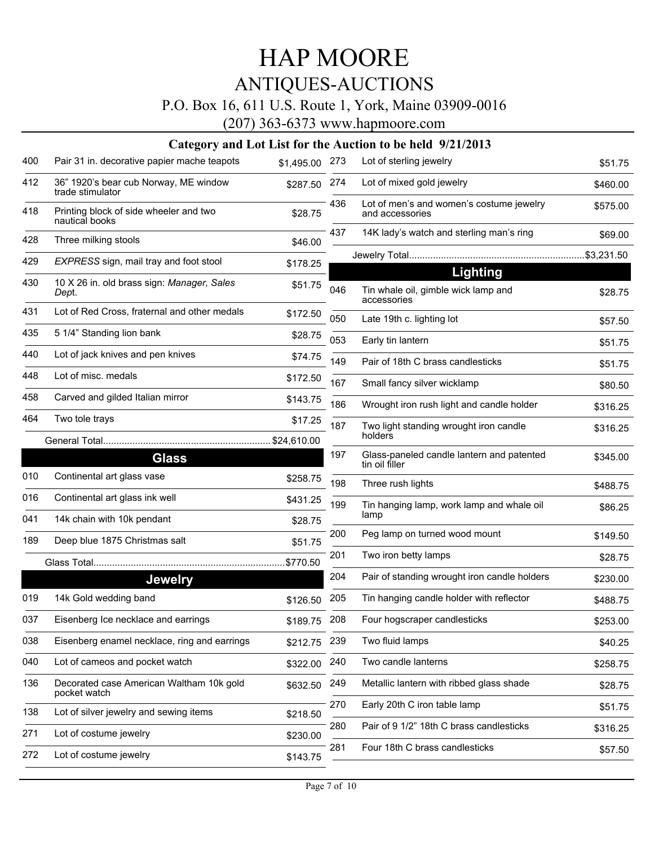### P.O. Box 16, 611 U.S. Route 1, York, Maine 03909-0016

(207) 363-6373 www.hapmoore.com

| 400 | Pair 31 in. decorative papier mache teapots               | \$1,495.00 273 |     | Lot of sterling jewelry                                     | \$51.75  |
|-----|-----------------------------------------------------------|----------------|-----|-------------------------------------------------------------|----------|
| 412 | 36" 1920's bear cub Norway, ME window<br>trade stimulator | \$287.50       | 274 | Lot of mixed gold jewelry                                   | \$460.00 |
| 418 | Printing block of side wheeler and two<br>nautical books  | \$28.75        | 436 | Lot of men's and women's costume jewelry<br>and accessories | \$575.00 |
| 428 | Three milking stools                                      | \$46.00        | 437 | 14K lady's watch and sterling man's ring                    | \$69.00  |
| 429 | EXPRESS sign, mail tray and foot stool                    | \$178.25       |     |                                                             |          |
|     |                                                           |                |     | Lighting                                                    |          |
| 430 | 10 X 26 in. old brass sign: Manager, Sales<br>Dept.       | \$51.75        | 046 | Tin whale oil, gimble wick lamp and<br>accessories          | \$28.75  |
| 431 | Lot of Red Cross, fraternal and other medals              | \$172.50       | 050 | Late 19th c. lighting lot                                   | \$57.50  |
| 435 | 5 1/4" Standing lion bank                                 | \$28.75        | 053 | Early tin lantern                                           | \$51.75  |
| 440 | Lot of jack knives and pen knives                         | \$74.75        | 149 | Pair of 18th C brass candlesticks                           | \$51.75  |
| 448 | Lot of misc. medals                                       | \$172.50       | 167 | Small fancy silver wicklamp                                 | \$80.50  |
| 458 | Carved and gilded Italian mirror                          | \$143.75       | 186 | Wrought iron rush light and candle holder                   | \$316.25 |
| 464 | Two tole trays                                            | \$17.25        | 187 | Two light standing wrought iron candle                      | \$316.25 |
|     |                                                           |                |     | holders                                                     |          |
|     | <b>Glass</b>                                              |                | 197 | Glass-paneled candle lantern and patented<br>tin oil filler | \$345.00 |
| 010 | Continental art glass vase                                | \$258.75       | 198 | Three rush lights                                           | \$488.75 |
| 016 | Continental art glass ink well                            | \$431.25       | 199 | Tin hanging lamp, work lamp and whale oil                   | \$86.25  |
| 041 | 14k chain with 10k pendant                                | \$28.75        |     | lamp                                                        |          |
| 189 | Deep blue 1875 Christmas salt                             | \$51.75        | 200 | Peg lamp on turned wood mount                               | \$149.50 |
|     |                                                           | \$770.50       | 201 | Two iron betty lamps                                        | \$28.75  |
|     | <b>Jewelry</b>                                            |                | 204 | Pair of standing wrought iron candle holders                | \$230.00 |
| 019 | 14k Gold wedding band                                     | \$126.50       | 205 | Tin hanging candle holder with reflector                    | \$488.75 |
| 037 | Eisenberg Ice necklace and earrings                       | \$189.75       | 208 | Four hogscraper candlesticks                                | \$253.00 |
| 038 | Eisenberg enamel necklace, ring and earrings              | \$212.75 239   |     | Two fluid lamps                                             | \$40.25  |
| 040 | Lot of cameos and pocket watch                            | \$322.00       | 240 | Two candle lanterns                                         | \$258.75 |
| 136 | Decorated case American Waltham 10k gold<br>pocket watch  | \$632.50       | 249 | Metallic lantern with ribbed glass shade                    | \$28.75  |
| 138 | Lot of silver jewelry and sewing items                    | \$218.50       | 270 | Early 20th C iron table lamp                                | \$51.75  |
| 271 | Lot of costume jewelry                                    | \$230.00       | 280 | Pair of 9 1/2" 18th C brass candlesticks                    | \$316.25 |
| 272 | Lot of costume jewelry                                    | \$143.75       | 281 | Four 18th C brass candlesticks                              | \$57.50  |
|     |                                                           |                |     |                                                             |          |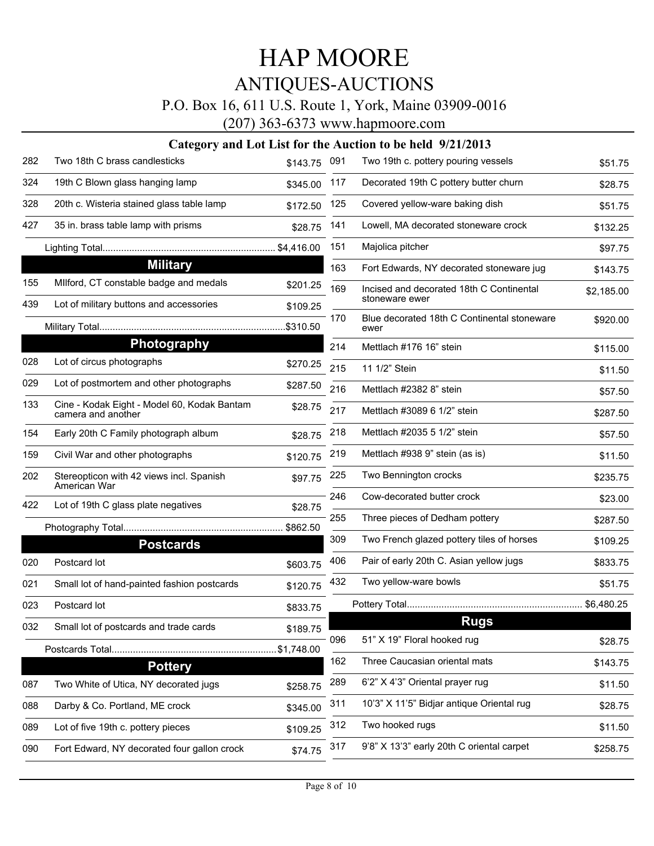### P.O. Box 16, 611 U.S. Route 1, York, Maine 03909-0016

(207) 363-6373 www.hapmoore.com

| 282 | Two 18th C brass candlesticks                                     | \$143.75   | 091 | Two 19th c. pottery pouring vessels                 | \$51.75    |
|-----|-------------------------------------------------------------------|------------|-----|-----------------------------------------------------|------------|
| 324 | 19th C Blown glass hanging lamp                                   | \$345.00   | 117 | Decorated 19th C pottery butter churn               | \$28.75    |
| 328 | 20th c. Wisteria stained glass table lamp                         | \$172.50   | 125 | Covered yellow-ware baking dish                     | \$51.75    |
| 427 | 35 in. brass table lamp with prisms                               | \$28.75    | 141 | Lowell, MA decorated stoneware crock                | \$132.25   |
|     |                                                                   | \$4,416.00 | 151 | Majolica pitcher                                    | \$97.75    |
|     | <b>Military</b>                                                   |            | 163 | Fort Edwards, NY decorated stoneware jug            | \$143.75   |
| 155 | Milford, CT constable badge and medals                            | \$201.25   | 169 | Incised and decorated 18th C Continental            | \$2,185.00 |
| 439 | Lot of military buttons and accessories                           | \$109.25   |     | stoneware ewer                                      |            |
|     |                                                                   | \$310.50   | 170 | Blue decorated 18th C Continental stoneware<br>ewer | \$920.00   |
|     | Photography                                                       |            | 214 | Mettlach #176 16" stein                             | \$115.00   |
| 028 | Lot of circus photographs                                         | \$270.25   | 215 | 11 1/2" Stein                                       | \$11.50    |
| 029 | Lot of postmortem and other photographs                           | \$287.50   | 216 | Mettlach #2382 8" stein                             | \$57.50    |
| 133 | Cine - Kodak Eight - Model 60, Kodak Bantam<br>camera and another | \$28.75    | 217 | Mettlach #3089 6 1/2" stein                         | \$287.50   |
| 154 | Early 20th C Family photograph album                              | \$28.75    | 218 | Mettlach #2035 5 1/2" stein                         | \$57.50    |
| 159 | Civil War and other photographs                                   | \$120.75   | 219 | Mettlach #938 9" stein (as is)                      | \$11.50    |
| 202 | Stereopticon with 42 views incl. Spanish<br>American War          | \$97.75    | 225 | Two Bennington crocks                               | \$235.75   |
| 422 | Lot of 19th C glass plate negatives                               | \$28.75    | 246 | Cow-decorated butter crock                          | \$23.00    |
|     |                                                                   | \$862.50   | 255 | Three pieces of Dedham pottery                      | \$287.50   |
|     | <b>Postcards</b>                                                  |            | 309 | Two French glazed pottery tiles of horses           | \$109.25   |
| 020 | Postcard lot                                                      | \$603.75   | 406 | Pair of early 20th C. Asian yellow jugs             | \$833.75   |
| 021 | Small lot of hand-painted fashion postcards                       | \$120.75   | 432 | Two yellow-ware bowls                               | \$51.75    |
| 023 | Postcard lot                                                      | \$833.75   |     |                                                     |            |
| 032 | Small lot of postcards and trade cards                            | \$189.75   |     | <b>Rugs</b>                                         |            |
|     |                                                                   | \$1,748.00 | 096 | 51" X 19" Floral hooked rug                         | \$28.75    |
|     | <b>Pottery</b>                                                    |            | 162 | Three Caucasian oriental mats                       | \$143.75   |
| 087 | Two White of Utica, NY decorated jugs                             | \$258.75   | 289 | 6'2" X 4'3" Oriental prayer rug                     | \$11.50    |
| 088 | Darby & Co. Portland, ME crock                                    | \$345.00   | 311 | 10'3" X 11'5" Bidjar antique Oriental rug           | \$28.75    |
| 089 | Lot of five 19th c. pottery pieces                                | \$109.25   | 312 | Two hooked rugs                                     | \$11.50    |
| 090 | Fort Edward, NY decorated four gallon crock                       | \$74.75    | 317 | 9'8" X 13'3" early 20th C oriental carpet           | \$258.75   |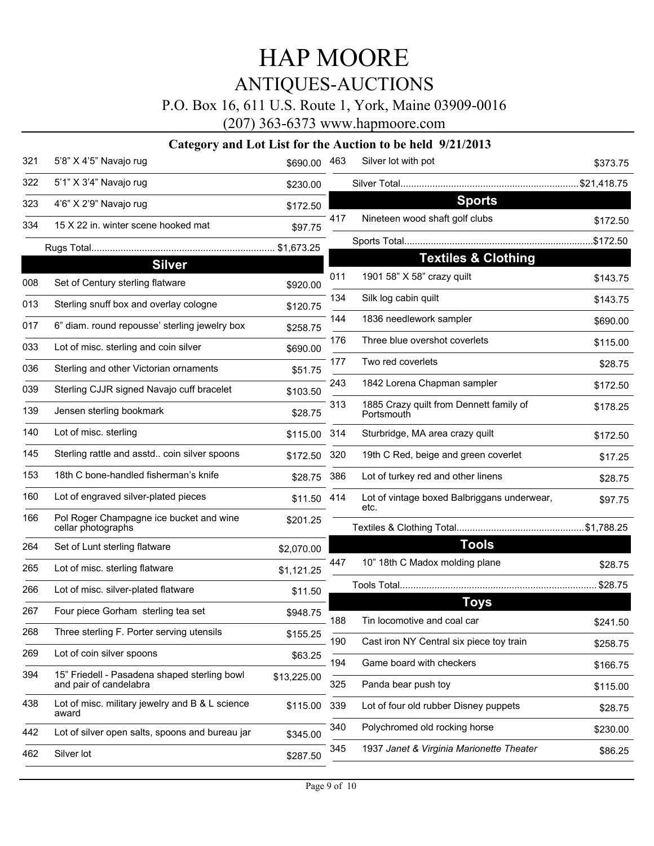### P.O. Box 16, 611 U.S. Route 1, York, Maine 03909-0016

(207) 363-6373 www.hapmoore.com

| 321 | 5'8" X 4'5" Navajo rug                                                 | \$690.00     | 463        | Silver lot with pot                                   | \$373.75             |
|-----|------------------------------------------------------------------------|--------------|------------|-------------------------------------------------------|----------------------|
| 322 | 5'1" X 3'4" Navajo rug                                                 | \$230.00     |            |                                                       |                      |
| 323 | 4'6" X 2'9" Navajo rug                                                 | \$172.50     |            | <b>Sports</b>                                         |                      |
| 334 | 15 X 22 in. winter scene hooked mat                                    | \$97.75      | 417        | Nineteen wood shaft golf clubs                        | \$172.50             |
|     |                                                                        |              |            |                                                       |                      |
|     | <b>Silver</b>                                                          |              |            | <b>Textiles &amp; Clothing</b>                        |                      |
| 008 | Set of Century sterling flatware                                       | \$920.00     | 011        | 1901 58" X 58" crazy quilt                            | \$143.75             |
| 013 | Sterling snuff box and overlay cologne                                 | \$120.75     | 134        | Silk log cabin quilt                                  | \$143.75             |
| 017 | 6" diam. round repousse' sterling jewelry box                          | \$258.75     | 144        | 1836 needlework sampler                               | \$690.00             |
| 033 | Lot of misc. sterling and coin silver                                  | \$690.00     | 176        | Three blue overshot coverlets                         | \$115.00             |
| 036 | Sterling and other Victorian ornaments                                 | \$51.75      | 177        | Two red coverlets                                     | \$28.75              |
| 039 | Sterling CJJR signed Navajo cuff bracelet                              | \$103.50     | 243        | 1842 Lorena Chapman sampler                           | \$172.50             |
| 139 | Jensen sterling bookmark                                               | \$28.75      | 313        | 1885 Crazy quilt from Dennett family of<br>Portsmouth | \$178.25             |
| 140 | Lot of misc. sterling                                                  | \$115.00     | 314        | Sturbridge, MA area crazy quilt                       | \$172.50             |
| 145 | Sterling rattle and asstd coin silver spoons                           | \$172.50 320 |            | 19th C Red, beige and green coverlet                  | \$17.25              |
| 153 | 18th C bone-handled fisherman's knife                                  | \$28.75      | 386        | Lot of turkey red and other linens                    | \$28.75              |
| 160 | Lot of engraved silver-plated pieces                                   | \$11.50      | 414        | Lot of vintage boxed Balbriggans underwear,<br>etc.   | \$97.75              |
| 166 | Pol Roger Champagne ice bucket and wine<br>cellar photographs          | \$201.25     |            |                                                       |                      |
| 264 | Set of Lunt sterling flatware                                          | \$2,070.00   |            | <b>Tools</b>                                          |                      |
| 265 | Lot of misc. sterling flatware                                         | \$1,121.25   | 447        | 10" 18th C Madox molding plane                        | \$28.75              |
| 266 | Lot of misc. silver-plated flatware                                    | \$11.50      |            |                                                       | \$28.75              |
| 267 | Four piece Gorham sterling tea set                                     | \$948.75     |            | <b>Toys</b>                                           |                      |
| 268 | Three sterling F. Porter serving utensils                              | \$155.25     | 188        | Tin locomotive and coal car                           | \$241.50             |
| 269 | Lot of coin silver spoons                                              | \$63.25      | 190        | Cast iron NY Central six piece toy train              | \$258.75             |
| 394 | 15" Friedell - Pasadena shaped sterling bowl<br>and pair of candelabra | \$13,225.00  | 194<br>325 | Game board with checkers<br>Panda bear push toy       | \$166.75<br>\$115.00 |
| 438 | Lot of misc. military jewelry and B & L science<br>award               | \$115.00     | 339        | Lot of four old rubber Disney puppets                 | \$28.75              |
| 442 | Lot of silver open salts, spoons and bureau jar                        | \$345.00     | 340        | Polychromed old rocking horse                         | \$230.00             |
| 462 | Silver lot                                                             | \$287.50     | 345        | 1937 Janet & Virginia Marionette Theater              | \$86.25              |
|     |                                                                        |              |            |                                                       |                      |